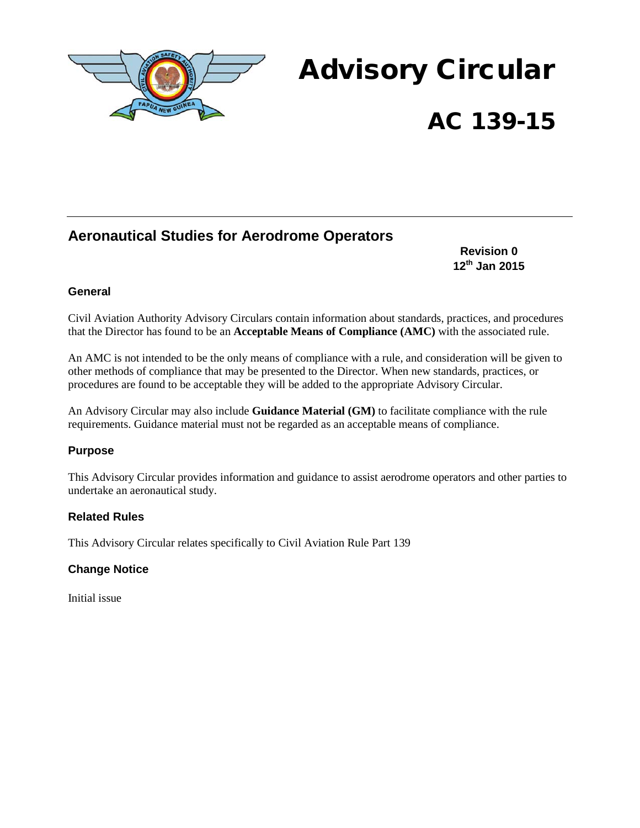

# Advisory Circular AC 139-15

# **Aeronautical Studies for Aerodrome Operators**

**Revision 0 12th Jan 2015**

### **General**

Civil Aviation Authority Advisory Circulars contain information about standards, practices, and procedures that the Director has found to be an **Acceptable Means of Compliance (AMC)** with the associated rule.

An AMC is not intended to be the only means of compliance with a rule, and consideration will be given to other methods of compliance that may be presented to the Director. When new standards, practices, or procedures are found to be acceptable they will be added to the appropriate Advisory Circular.

An Advisory Circular may also include **Guidance Material (GM)** to facilitate compliance with the rule requirements. Guidance material must not be regarded as an acceptable means of compliance.

#### **Purpose**

This Advisory Circular provides information and guidance to assist aerodrome operators and other parties to undertake an aeronautical study.

#### **Related Rules**

This Advisory Circular relates specifically to Civil Aviation Rule Part 139

#### **Change Notice**

Initial issue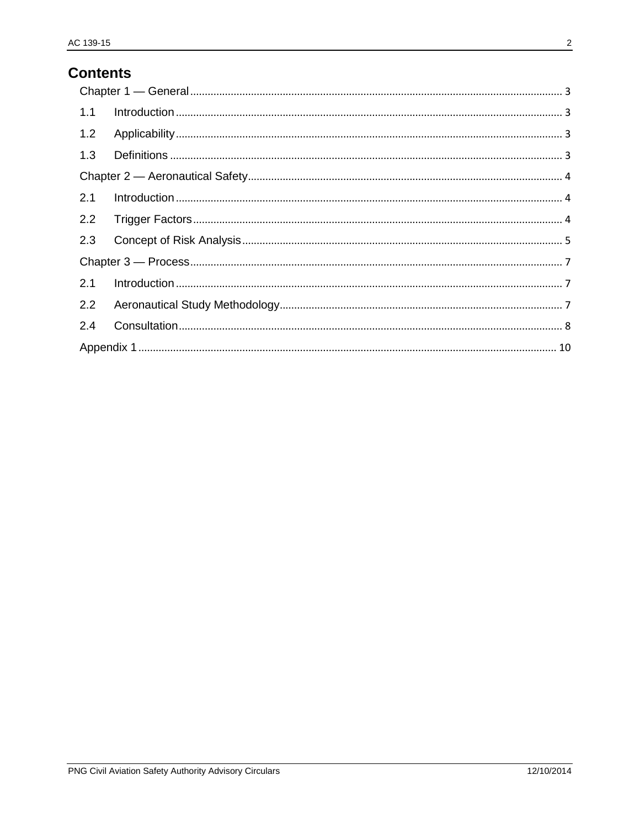# **Contents**

| 1.1 |  |  |
|-----|--|--|
| 1.2 |  |  |
| 1.3 |  |  |
|     |  |  |
| 2.1 |  |  |
| 2.2 |  |  |
| 2.3 |  |  |
|     |  |  |
| 2.1 |  |  |
| 2.2 |  |  |
| 2.4 |  |  |
|     |  |  |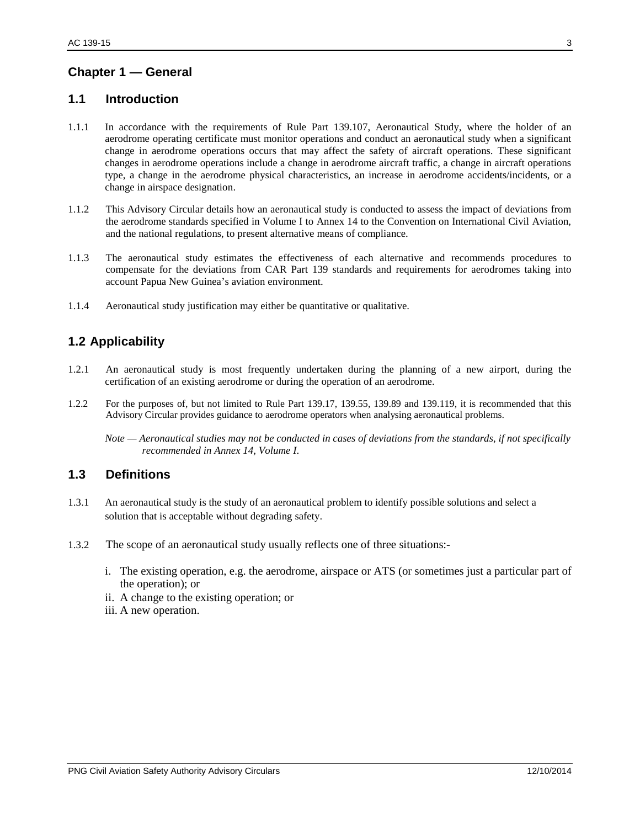## <span id="page-2-0"></span>**Chapter 1 — General**

## <span id="page-2-1"></span>**1.1 Introduction**

- 1.1.1 In accordance with the requirements of Rule Part 139.107, Aeronautical Study, where the holder of an aerodrome operating certificate must monitor operations and conduct an aeronautical study when a significant change in aerodrome operations occurs that may affect the safety of aircraft operations. These significant changes in aerodrome operations include a change in aerodrome aircraft traffic, a change in aircraft operations type, a change in the aerodrome physical characteristics, an increase in aerodrome accidents/incidents, or a change in airspace designation.
- 1.1.2 This Advisory Circular details how an aeronautical study is conducted to assess the impact of deviations from the aerodrome standards specified in Volume I to Annex 14 to the Convention on International Civil Aviation, and the national regulations, to present alternative means of compliance.
- 1.1.3 The aeronautical study estimates the effectiveness of each alternative and recommends procedures to compensate for the deviations from CAR Part 139 standards and requirements for aerodromes taking into account Papua New Guinea's aviation environment.
- 1.1.4 Aeronautical study justification may either be quantitative or qualitative.

## <span id="page-2-2"></span>**1.2 Applicability**

- 1.2.1 An aeronautical study is most frequently undertaken during the planning of a new airport, during the certification of an existing aerodrome or during the operation of an aerodrome.
- 1.2.2 For the purposes of, but not limited to Rule Part 139.17, 139.55, 139.89 and 139.119, it is recommended that this Advisory Circular provides guidance to aerodrome operators when analysing aeronautical problems.

*Note — Aeronautical studies may not be conducted in cases of deviations from the standards, if not specifically recommended in Annex 14, Volume I*.

#### <span id="page-2-3"></span>**1.3 Definitions**

- 1.3.1 An aeronautical study is the study of an aeronautical problem to identify possible solutions and select a solution that is acceptable without degrading safety.
- 1.3.2 The scope of an aeronautical study usually reflects one of three situations:
	- i. The existing operation, e.g. the aerodrome, airspace or ATS (or sometimes just a particular part of the operation); or
	- ii. A change to the existing operation; or
	- iii. A new operation.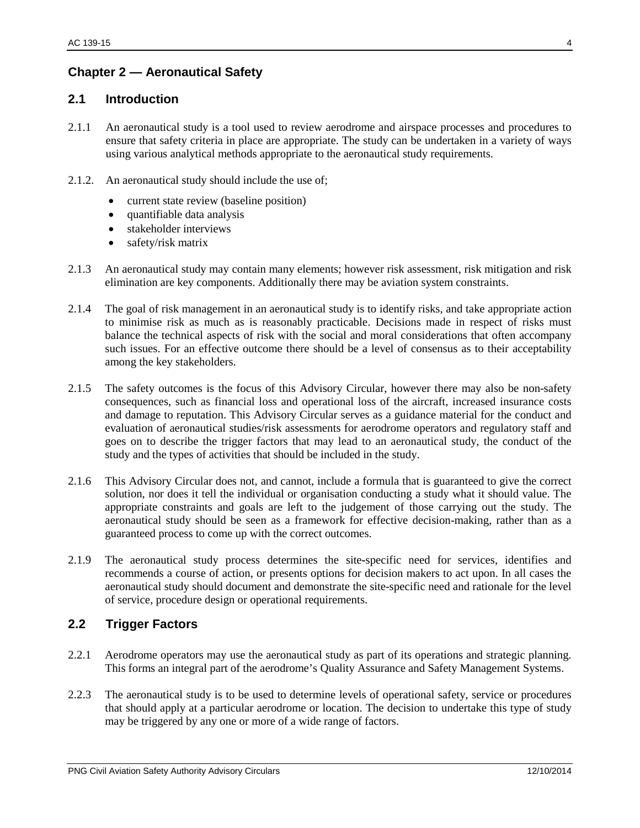## <span id="page-3-0"></span>**Chapter 2 — Aeronautical Safety**

#### <span id="page-3-1"></span>**2.1 Introduction**

- 2.1.1 An aeronautical study is a tool used to review aerodrome and airspace processes and procedures to ensure that safety criteria in place are appropriate. The study can be undertaken in a variety of ways using various analytical methods appropriate to the aeronautical study requirements.
- 2.1.2. An aeronautical study should include the use of;
	- current state review (baseline position)
	- quantifiable data analysis
	- stakeholder interviews
	- safety/risk matrix
- 2.1.3 An aeronautical study may contain many elements; however risk assessment, risk mitigation and risk elimination are key components. Additionally there may be aviation system constraints.
- 2.1.4 The goal of risk management in an aeronautical study is to identify risks, and take appropriate action to minimise risk as much as is reasonably practicable. Decisions made in respect of risks must balance the technical aspects of risk with the social and moral considerations that often accompany such issues. For an effective outcome there should be a level of consensus as to their acceptability among the key stakeholders.
- 2.1.5 The safety outcomes is the focus of this Advisory Circular, however there may also be non-safety consequences, such as financial loss and operational loss of the aircraft, increased insurance costs and damage to reputation. This Advisory Circular serves as a guidance material for the conduct and evaluation of aeronautical studies/risk assessments for aerodrome operators and regulatory staff and goes on to describe the trigger factors that may lead to an aeronautical study, the conduct of the study and the types of activities that should be included in the study.
- 2.1.6 This Advisory Circular does not, and cannot, include a formula that is guaranteed to give the correct solution, nor does it tell the individual or organisation conducting a study what it should value. The appropriate constraints and goals are left to the judgement of those carrying out the study. The aeronautical study should be seen as a framework for effective decision-making, rather than as a guaranteed process to come up with the correct outcomes.
- 2.1.9 The aeronautical study process determines the site**-**specific need for services, identifies and recommends a course of action, or presents options for decision makers to act upon. In all cases the aeronautical study should document and demonstrate the site-specific need and rationale for the level of service, procedure design or operational requirements.

#### <span id="page-3-2"></span>**2.2 Trigger Factors**

- 2.2.1 Aerodrome operators may use the aeronautical study as part of its operations and strategic planning. This forms an integral part of the aerodrome's Quality Assurance and Safety Management Systems.
- 2.2.3 The aeronautical study is to be used to determine levels of operational safety, service or procedures that should apply at a particular aerodrome or location. The decision to undertake this type of study may be triggered by any one or more of a wide range of factors.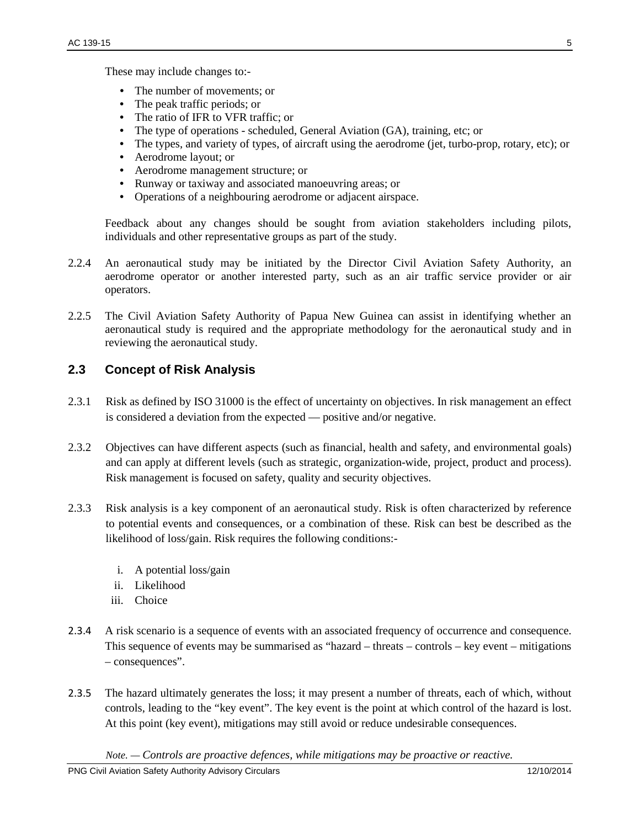These may include changes to:-

- The number of movements; or
- The peak traffic periods; or
- The ratio of IFR to VFR traffic; or
- The type of operations scheduled, General Aviation (GA), training, etc; or
- The types, and variety of types, of aircraft using the aerodrome (jet, turbo-prop, rotary, etc); or
- Aerodrome layout: or
- Aerodrome management structure; or
- Runway or taxiway and associated manoeuvring areas; or
- Operations of a neighbouring aerodrome or adjacent airspace.

Feedback about any changes should be sought from aviation stakeholders including pilots, individuals and other representative groups as part of the study.

- 2.2.4 An aeronautical study may be initiated by the Director Civil Aviation Safety Authority, an aerodrome operator or another interested party, such as an air traffic service provider or air operators.
- 2.2.5 The Civil Aviation Safety Authority of Papua New Guinea can assist in identifying whether an aeronautical study is required and the appropriate methodology for the aeronautical study and in reviewing the aeronautical study.

## <span id="page-4-0"></span>**2.3 Concept of Risk Analysis**

- 2.3.1 Risk as defined by ISO 31000 is the effect of uncertainty on objectives. In risk management an effect is considered a deviation from the expected — positive and/or negative.
- 2.3.2 Objectives can have different aspects (such as financial, health and safety, and environmental goals) and can apply at different levels (such as strategic, organization-wide, project, product and process). Risk management is focused on safety, quality and security objectives.
- 2.3.3 Risk analysis is a key component of an aeronautical study. Risk is often characterized by reference to potential events and consequences, or a combination of these. Risk can best be described as the likelihood of loss/gain. Risk requires the following conditions:
	- i. A potential loss/gain
	- ii. Likelihood
	- iii. Choice
- 2.3.4 A risk scenario is a sequence of events with an associated frequency of occurrence and consequence. This sequence of events may be summarised as "hazard – threats – controls – key event – mitigations – consequences".
- 2.3.5 The hazard ultimately generates the loss; it may present a number of threats, each of which, without controls, leading to the "key event". The key event is the point at which control of the hazard is lost. At this point (key event), mitigations may still avoid or reduce undesirable consequences.

*Note. — Controls are proactive defences, while mitigations may be proactive or reactive.*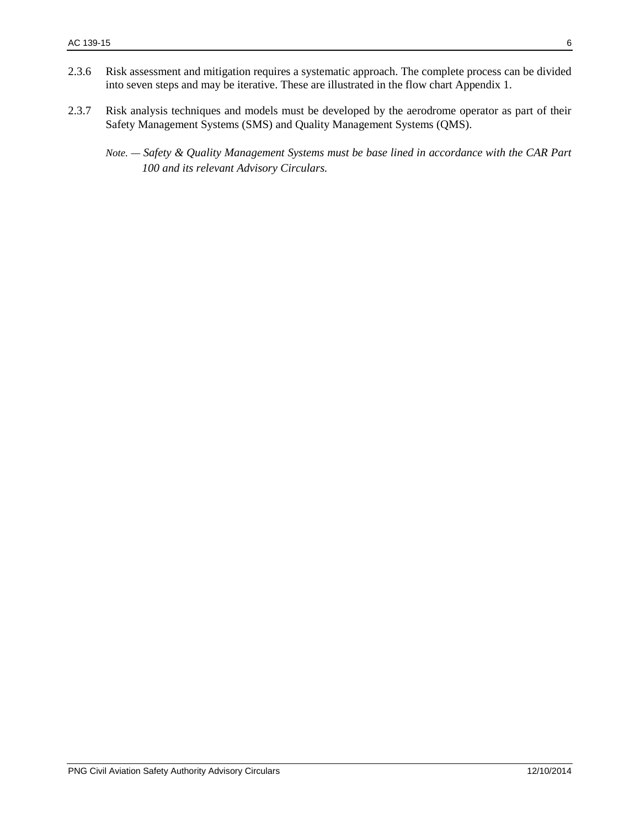- 2.3.6 Risk assessment and mitigation requires a systematic approach. The complete process can be divided into seven steps and may be iterative. These are illustrated in the flow chart Appendix 1.
- 2.3.7 Risk analysis techniques and models must be developed by the aerodrome operator as part of their Safety Management Systems (SMS) and Quality Management Systems (QMS).
	- *Note. — Safety & Quality Management Systems must be base lined in accordance with the CAR Part 100 and its relevant Advisory Circulars.*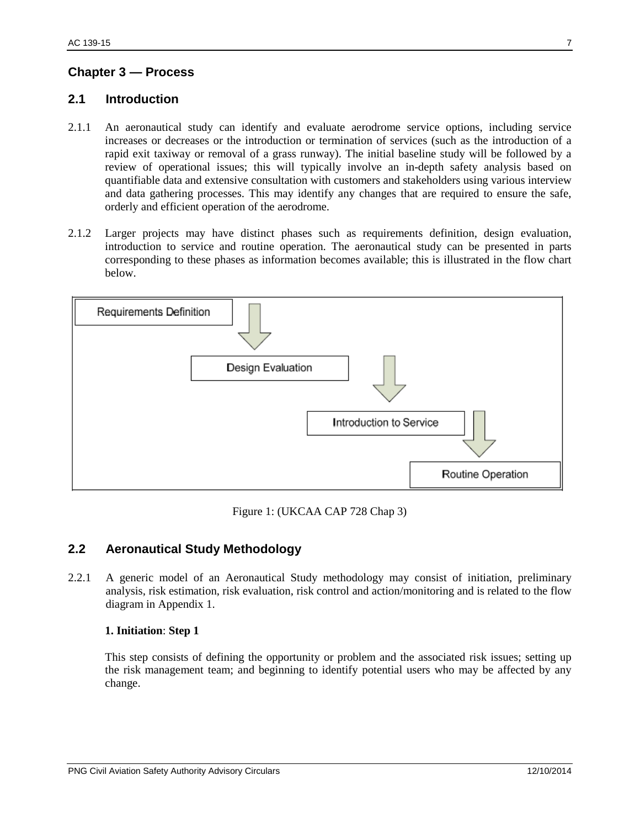## <span id="page-6-0"></span>**Chapter 3 — Process**

### <span id="page-6-1"></span>**2.1 Introduction**

- 2.1.1 An aeronautical study can identify and evaluate aerodrome service options, including service increases or decreases or the introduction or termination of services (such as the introduction of a rapid exit taxiway or removal of a grass runway). The initial baseline study will be followed by a review of operational issues; this will typically involve an in-depth safety analysis based on quantifiable data and extensive consultation with customers and stakeholders using various interview and data gathering processes. This may identify any changes that are required to ensure the safe, orderly and efficient operation of the aerodrome.
- 2.1.2 Larger projects may have distinct phases such as requirements definition, design evaluation, introduction to service and routine operation. The aeronautical study can be presented in parts corresponding to these phases as information becomes available; this is illustrated in the flow chart below.



Figure 1: (UKCAA CAP 728 Chap 3)

## <span id="page-6-2"></span>**2.2 Aeronautical Study Methodology**

2.2.1 A generic model of an Aeronautical Study methodology may consist of initiation, preliminary analysis, risk estimation, risk evaluation, risk control and action/monitoring and is related to the flow diagram in Appendix 1.

#### **1. Initiation**: **Step 1**

This step consists of defining the opportunity or problem and the associated risk issues; setting up the risk management team; and beginning to identify potential users who may be affected by any change.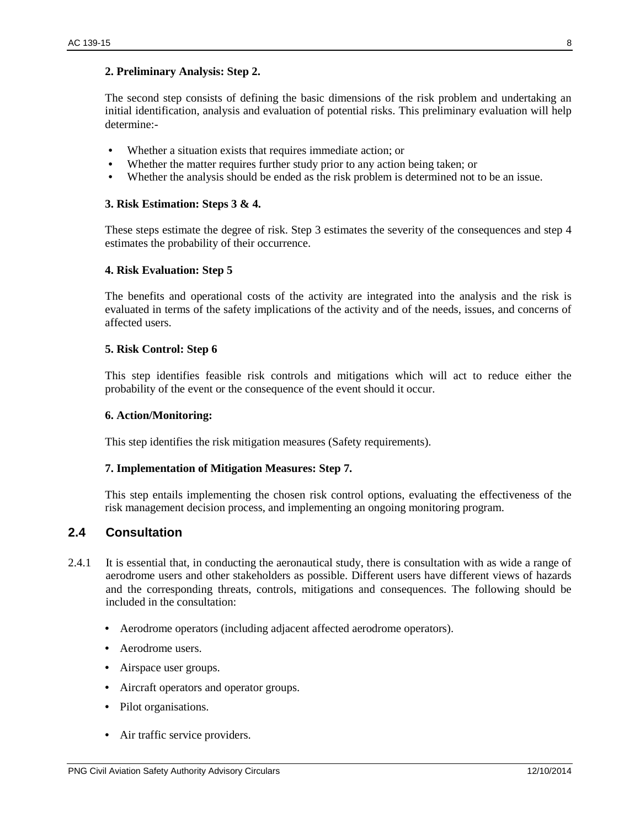#### **2. Preliminary Analysis: Step 2.**

The second step consists of defining the basic dimensions of the risk problem and undertaking an initial identification, analysis and evaluation of potential risks. This preliminary evaluation will help determine:-

- Whether a situation exists that requires immediate action; or
- Whether the matter requires further study prior to any action being taken; or
- Whether the analysis should be ended as the risk problem is determined not to be an issue.

#### **3. Risk Estimation: Steps 3 & 4.**

These steps estimate the degree of risk. Step 3 estimates the severity of the consequences and step 4 estimates the probability of their occurrence.

#### **4. Risk Evaluation: Step 5**

The benefits and operational costs of the activity are integrated into the analysis and the risk is evaluated in terms of the safety implications of the activity and of the needs, issues, and concerns of affected users.

#### **5. Risk Control: Step 6**

This step identifies feasible risk controls and mitigations which will act to reduce either the probability of the event or the consequence of the event should it occur.

#### **6. Action/Monitoring:**

This step identifies the risk mitigation measures (Safety requirements).

#### **7. Implementation of Mitigation Measures: Step 7.**

This step entails implementing the chosen risk control options, evaluating the effectiveness of the risk management decision process, and implementing an ongoing monitoring program.

#### <span id="page-7-0"></span>**2.4 Consultation**

- 2.4.1 It is essential that, in conducting the aeronautical study, there is consultation with as wide a range of aerodrome users and other stakeholders as possible. Different users have different views of hazards and the corresponding threats, controls, mitigations and consequences. The following should be included in the consultation:
	- Aerodrome operators (including adjacent affected aerodrome operators).
	- Aerodrome users.
	- Airspace user groups.
	- Aircraft operators and operator groups.
	- Pilot organisations.
	- Air traffic service providers.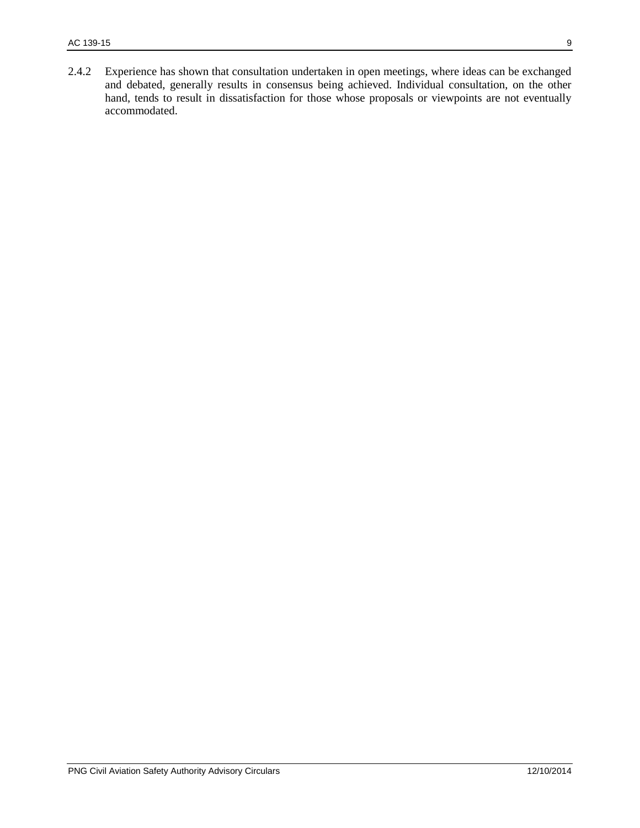2.4.2 Experience has shown that consultation undertaken in open meetings, where ideas can be exchanged and debated, generally results in consensus being achieved. Individual consultation, on the other hand, tends to result in dissatisfaction for those whose proposals or viewpoints are not eventually accommodated.